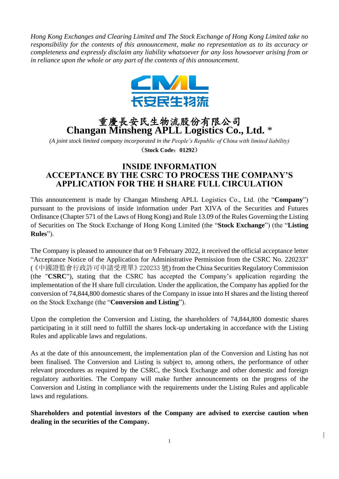*Hong Kong Exchanges and Clearing Limited and The Stock Exchange of Hong Kong Limited take no responsibility for the contents of this announcement, make no representation as to its accuracy or completeness and expressly disclaim any liability whatsoever for any loss howsoever arising from or in reliance upon the whole or any part of the contents of this announcement.*



## 重慶長安民生物流股份有限公司 **Changan Minsheng APLL Logistics Co., Ltd.** \*

*(A joint stock limited company incorporated in the People's Republic of China with limited liability)* (**Stock Code**:**01292**)

## **INSIDE INFORMATION ACCEPTANCE BY THE CSRC TO PROCESS THE COMPANY'S APPLICATION FOR THE H SHARE FULL CIRCULATION**

This announcement is made by Changan Minsheng APLL Logistics Co., Ltd. (the "**Company**") pursuant to the provisions of inside information under Part XIVA of the Securities and Futures Ordinance (Chapter 571 of the Laws of Hong Kong) and Rule 13.09 of the Rules Governing the Listing of Securities on The Stock Exchange of Hong Kong Limited (the "**Stock Exchange**") (the "**Listing Rules**").

The Company is pleased to announce that on 9 February 2022, it received the official acceptance letter "Acceptance Notice of the Application for Administrative Permission from the CSRC No. 220233" (《中國證監會行政許可申請受理單》220233 號) from the China Securities Regulatory Commission (the "**CSRC**"), stating that the CSRC has accepted the Company's application regarding the implementation of the H share full circulation. Under the application, the Company has applied for the conversion of 74,844,800 domestic shares of the Company in issue into H shares and the listing thereof on the Stock Exchange (the "**Conversion and Listing**").

Upon the completion the Conversion and Listing, the shareholders of 74,844,800 domestic shares participating in it still need to fulfill the shares lock-up undertaking in accordance with the Listing Rules and applicable laws and regulations.

As at the date of this announcement, the implementation plan of the Conversion and Listing has not been finalised. The Conversion and Listing is subject to, among others, the performance of other relevant procedures as required by the CSRC, the Stock Exchange and other domestic and foreign regulatory authorities. The Company will make further announcements on the progress of the Conversion and Listing in compliance with the requirements under the Listing Rules and applicable laws and regulations.

**Shareholders and potential investors of the Company are advised to exercise caution when dealing in the securities of the Company.**